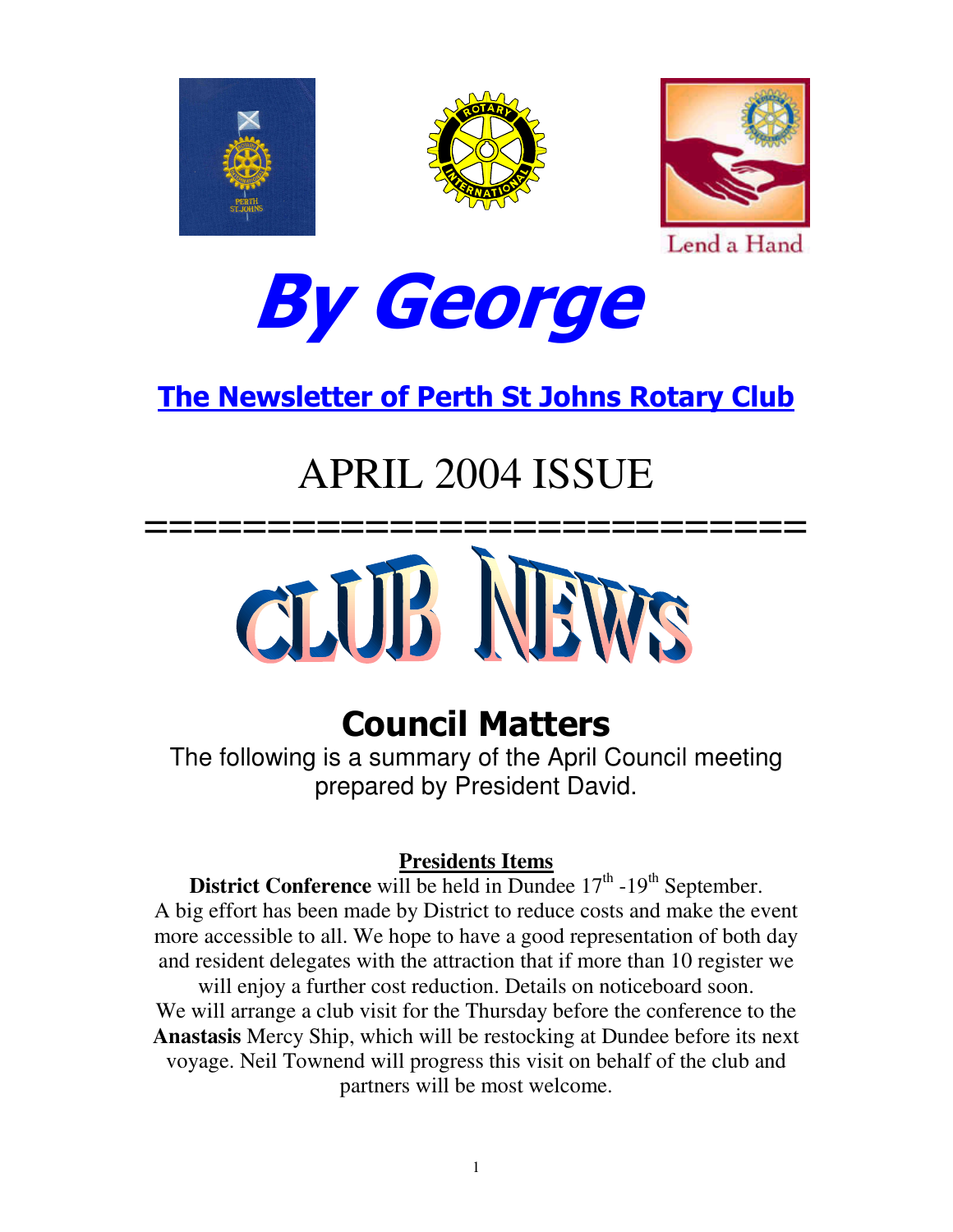





Lend a Hand



# <u>The Newsletter of Perth St Johns Rotary Club</u>

# APRIL 2004 ISSUE



# **Council Matters**

The following is a summary of the April Council meeting prepared by President David.

## **Presidents Items**

**District Conference** will be held in Dundee  $17<sup>th</sup>$ -19<sup>th</sup> September. A big effort has been made by District to reduce costs and make the event more accessible to all. We hope to have a good representation of both day and resident delegates with the attraction that if more than 10 register we will enjoy a further cost reduction. Details on noticeboard soon. We will arrange a club visit for the Thursday before the conference to the **Anastasis** Mercy Ship, which will be restocking at Dundee before its next voyage. Neil Townend will progress this visit on behalf of the club and partners will be most welcome.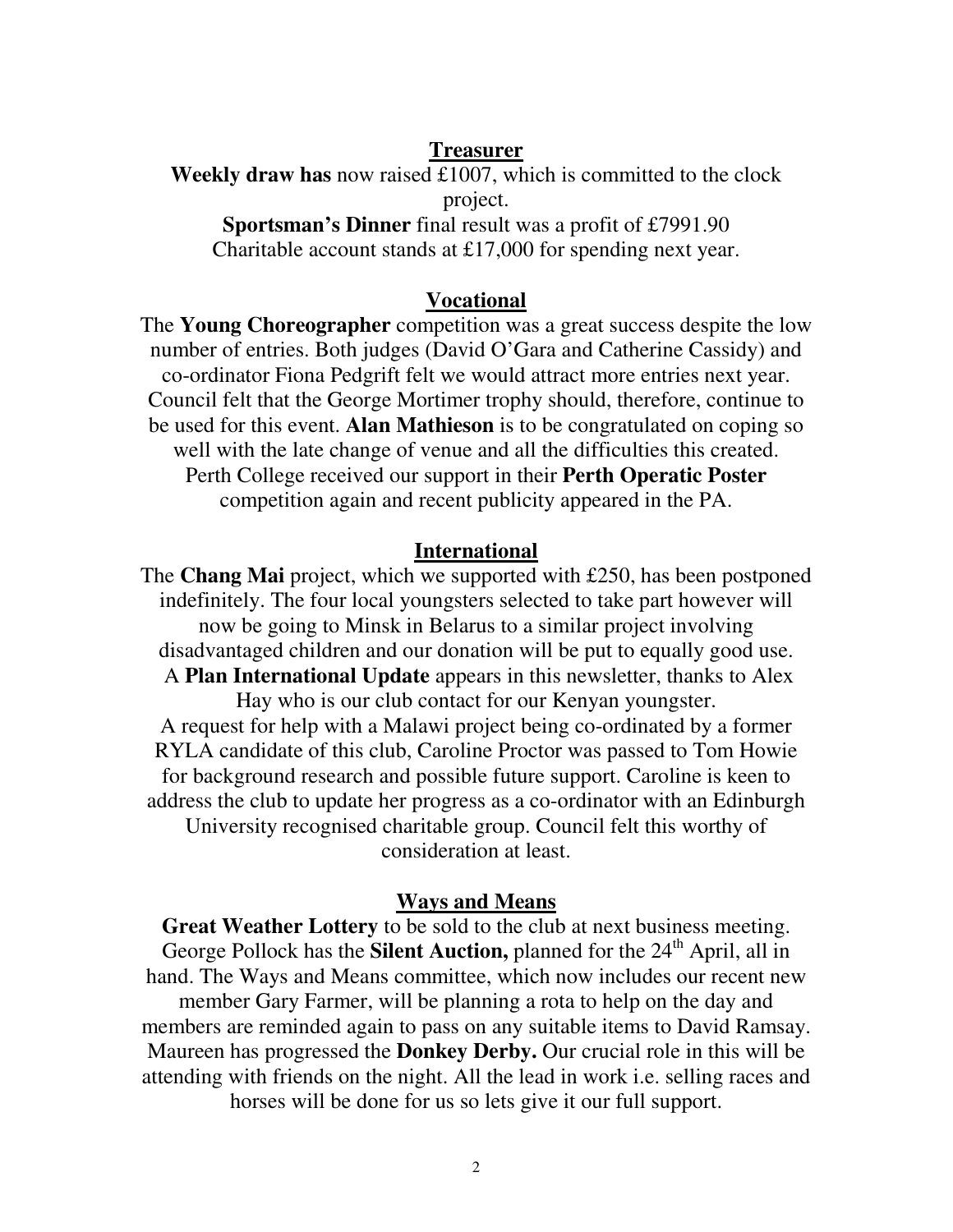### **Treasurer**

**Weekly draw has** now raised £1007, which is committed to the clock project. **Sportsman's Dinner** final result was a profit of £7991.90

Charitable account stands at £17,000 for spending next year.

## **Vocational**

The **Young Choreographer** competition was a great success despite the low number of entries. Both judges (David O'Gara and Catherine Cassidy) and co-ordinator Fiona Pedgrift felt we would attract more entries next year. Council felt that the George Mortimer trophy should, therefore, continue to be used for this event. **Alan Mathieson** is to be congratulated on coping so well with the late change of venue and all the difficulties this created. Perth College received our support in their **Perth Operatic Poster** competition again and recent publicity appeared in the PA.

## **International**

The **Chang Mai** project, which we supported with £250, has been postponed indefinitely. The four local youngsters selected to take part however will now be going to Minsk in Belarus to a similar project involving disadvantaged children and our donation will be put to equally good use. A **Plan International Update** appears in this newsletter, thanks to Alex Hay who is our club contact for our Kenyan youngster. A request for help with a Malawi project being co-ordinated by a former RYLA candidate of this club, Caroline Proctor was passed to Tom Howie for background research and possible future support. Caroline is keen to address the club to update her progress as a co-ordinator with an Edinburgh University recognised charitable group. Council felt this worthy of consideration at least.

## **Ways and Means**

**Great Weather Lottery** to be sold to the club at next business meeting. George Pollock has the **Silent Auction**, planned for the 24<sup>th</sup> April, all in hand. The Ways and Means committee, which now includes our recent new member Gary Farmer, will be planning a rota to help on the day and members are reminded again to pass on any suitable items to David Ramsay. Maureen has progressed the **Donkey Derby.** Our crucial role in this will be attending with friends on the night. All the lead in work i.e. selling races and horses will be done for us so lets give it our full support.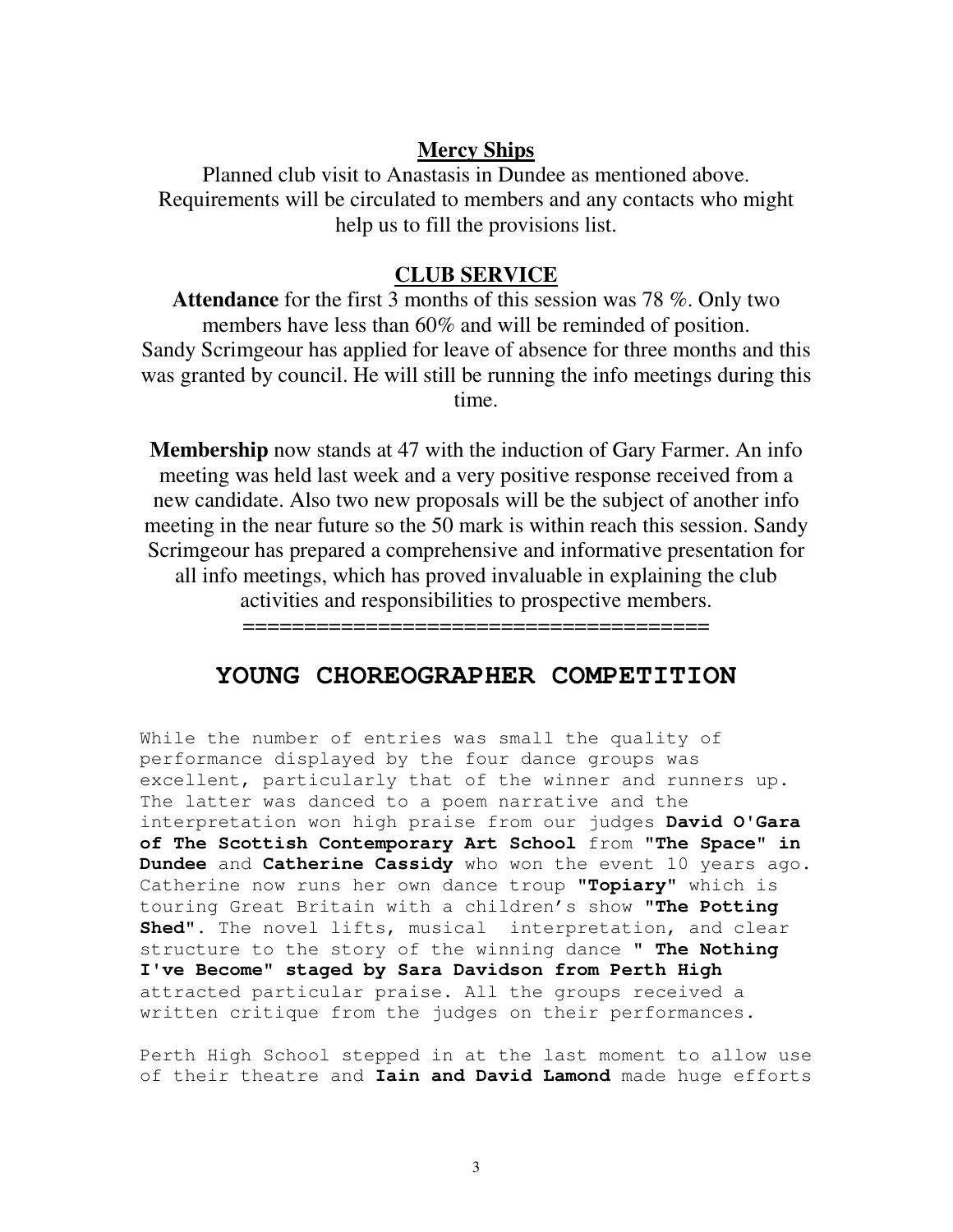### **Mercy Ships**

Planned club visit to Anastasis in Dundee as mentioned above. Requirements will be circulated to members and any contacts who might help us to fill the provisions list.

## **CLUB SERVICE**

**Attendance** for the first 3 months of this session was 78 %. Only two members have less than 60% and will be reminded of position. Sandy Scrimgeour has applied for leave of absence for three months and this was granted by council. He will still be running the info meetings during this time.

**Membership** now stands at 47 with the induction of Gary Farmer. An info meeting was held last week and a very positive response received from a new candidate. Also two new proposals will be the subject of another info meeting in the near future so the 50 mark is within reach this session. Sandy Scrimgeour has prepared a comprehensive and informative presentation for all info meetings, which has proved invaluable in explaining the club activities and responsibilities to prospective members.

======================================

## **YOUNG CHOREOGRAPHER COMPETITION**

While the number of entries was small the quality of performance displayed by the four dance groups was excellent, particularly that of the winner and runners up. The latter was danced to a poem narrative and the interpretation won high praise from our judges **David O'Gara of The Scottish Contemporary Art School** from **"The Space" in Dundee** and **Catherine Cassidy** who won the event 10 years ago. Catherine now runs her own dance troup **"Topiary"** which is touring Great Britain with a children's show **"The Potting Shed"**. The novel lifts, musical interpretation, and clear structure to the story of the winning dance **" The Nothing I've Become" staged by Sara Davidson from Perth High** attracted particular praise. All the groups received a written critique from the judges on their performances.

Perth High School stepped in at the last moment to allow use of their theatre and **Iain and David Lamond** made huge efforts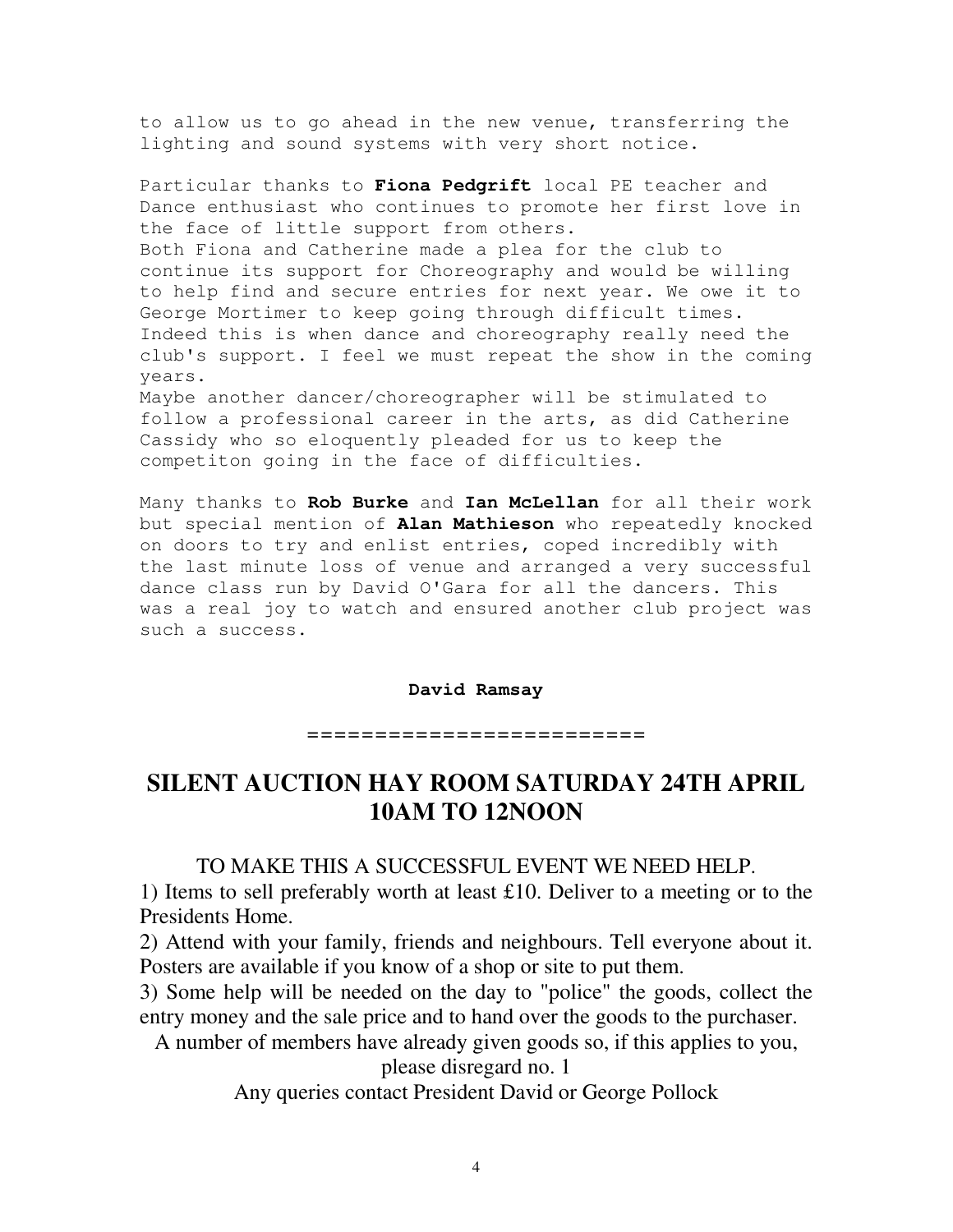to allow us to go ahead in the new venue, transferring the lighting and sound systems with very short notice.

Particular thanks to **Fiona Pedgrift** local PE teacher and Dance enthusiast who continues to promote her first love in the face of little support from others. Both Fiona and Catherine made a plea for the club to continue its support for Choreography and would be willing to help find and secure entries for next year. We owe it to George Mortimer to keep going through difficult times. Indeed this is when dance and choreography really need the club's support. I feel we must repeat the show in the coming years. Maybe another dancer/choreographer will be stimulated to follow a professional career in the arts, as did Catherine Cassidy who so eloquently pleaded for us to keep the

competiton going in the face of difficulties.

Many thanks to **Rob Burke** and **Ian McLellan** for all their work but special mention of **Alan Mathieson** who repeatedly knocked on doors to try and enlist entries, coped incredibly with the last minute loss of venue and arranged a very successful dance class run by David O'Gara for all the dancers. This was a real joy to watch and ensured another club project was such a success.

#### **David Ramsay**

========================

## **SILENT AUCTION HAY ROOM SATURDAY 24TH APRIL 10AM TO 12NOON**

### TO MAKE THIS A SUCCESSFUL EVENT WE NEED HELP.

1) Items to sell preferably worth at least £10. Deliver to a meeting or to the Presidents Home.

2) Attend with your family, friends and neighbours. Tell everyone about it. Posters are available if you know of a shop or site to put them.

3) Some help will be needed on the day to "police" the goods, collect the entry money and the sale price and to hand over the goods to the purchaser.

A number of members have already given goods so, if this applies to you,

please disregard no. 1

Any queries contact President David or George Pollock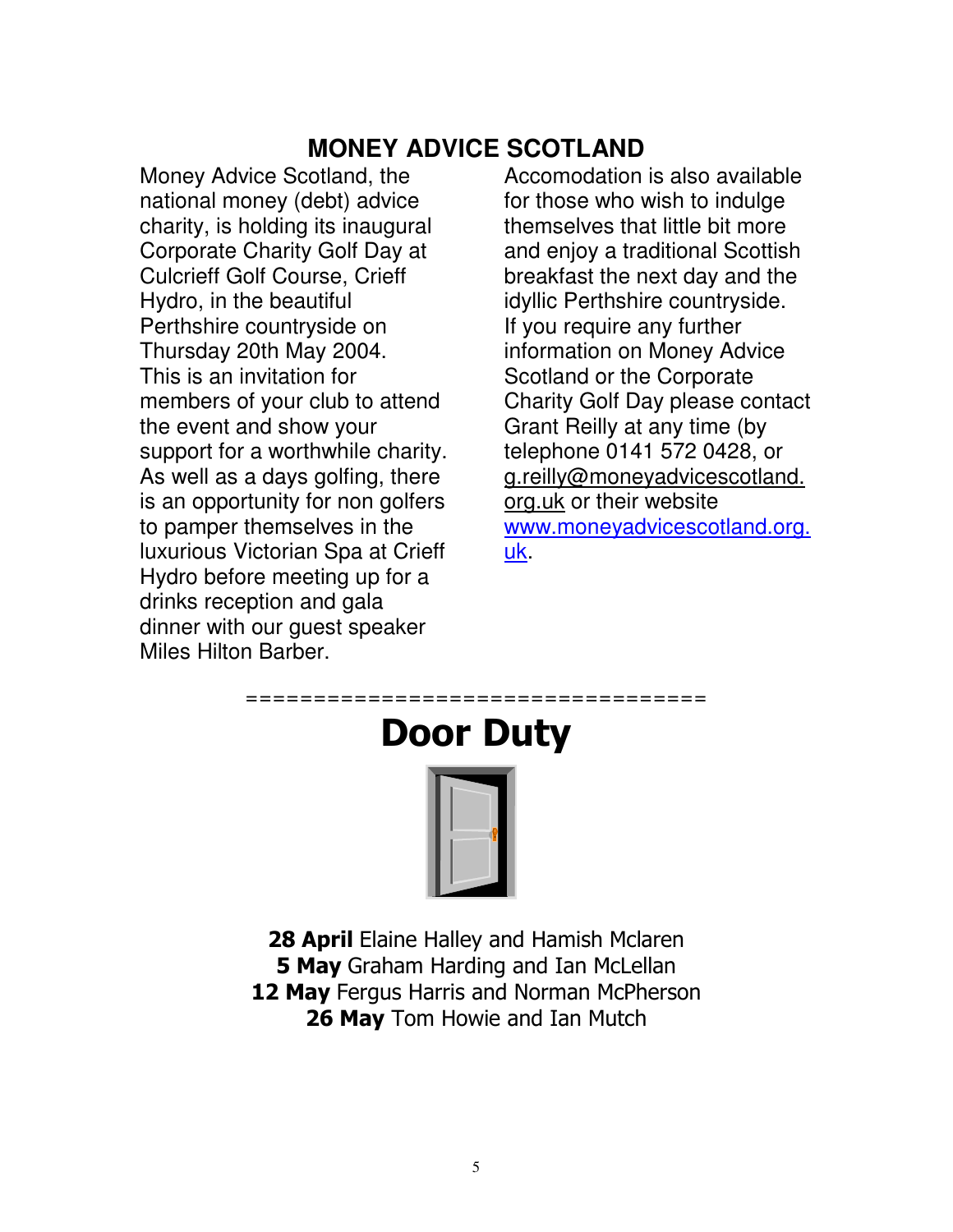# **MONEY ADVICE SCOTLAND**

Money Advice Scotland, the national money (debt) advice charity, is holding its inaugural Corporate Charity Golf Day at Culcrieff Golf Course, Crieff Hydro, in the beautiful Perthshire countryside on Thursday 20th May 2004. This is an invitation for members of your club to attend the event and show your support for a worthwhile charity. As well as a days golfing, there is an opportunity for non golfers to pamper themselves in the luxurious Victorian Spa at Crieff Hydro before meeting up for a drinks reception and gala dinner with our guest speaker Miles Hilton Barber.

Accomodation is also available for those who wish to indulge themselves that little bit more and enjoy a traditional Scottish breakfast the next day and the idyllic Perthshire countryside. If you require any further information on Money Advice Scotland or the Corporate Charity Golf Day please contact Grant Reilly at any time (by telephone 0141 572 0428, or g.reilly@moneyadvicescotland. org.uk or their website www.moneyadvicescotland.org. uk.



28 April Elaine Halley and Hamish Mclaren 5 May Graham Harding and Ian McLellan 12 May Fergus Harris and Norman McPherson 26 May Tom Howie and Ian Mutch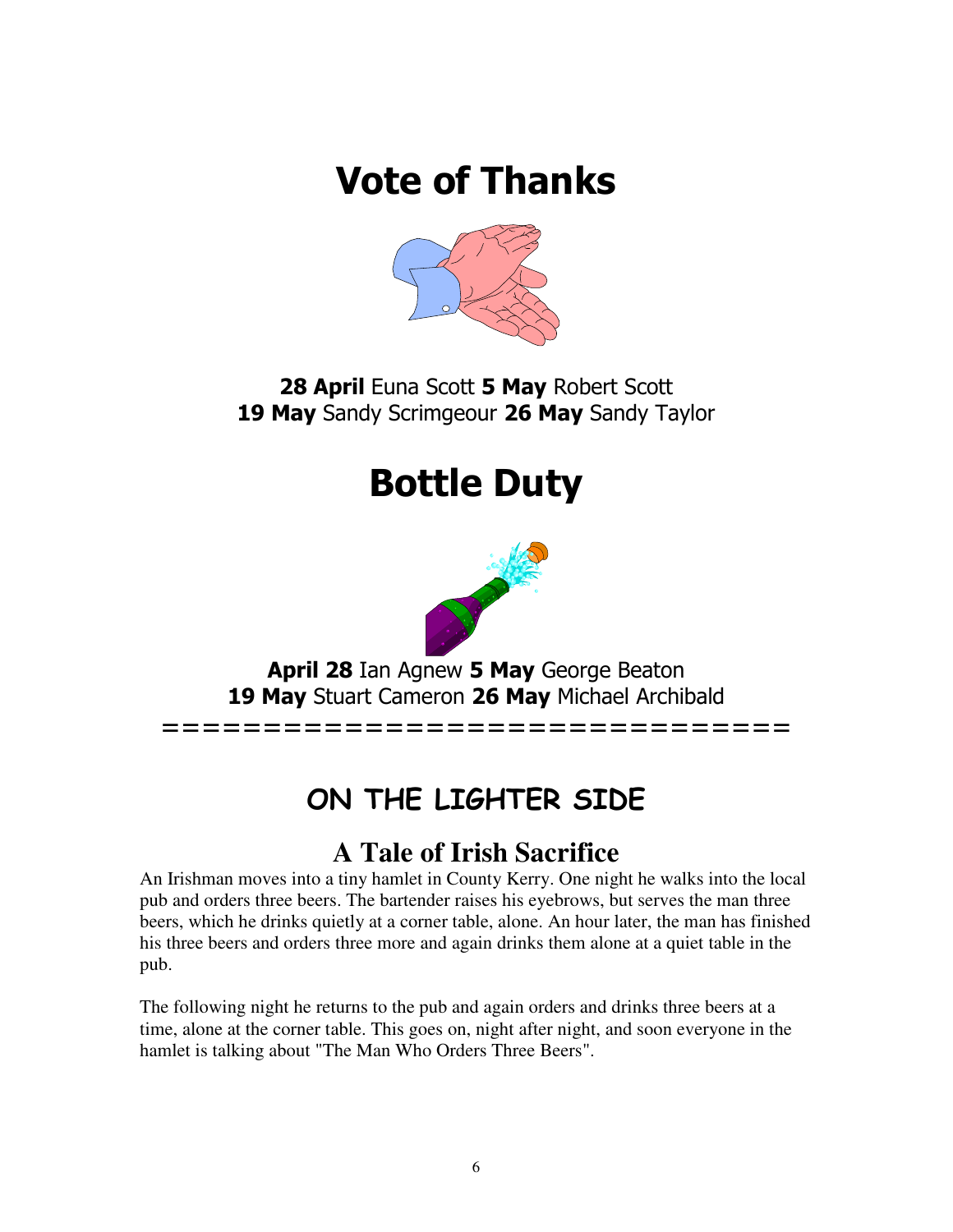# **Vote of Thanks**



28 April Euna Scott 5 May Robert Scott 19 May Sandy Scrimgeour 26 May Sandy Taylor

# **Bottle Duty**



April 28 Ian Agnew 5 May George Beaton 19 May Stuart Cameron 26 May Michael Archibald

===============================

# ON THE LIGHTER SIDE

# **A Tale of Irish Sacrifice**

An Irishman moves into a tiny hamlet in County Kerry. One night he walks into the local pub and orders three beers. The bartender raises his eyebrows, but serves the man three beers, which he drinks quietly at a corner table, alone. An hour later, the man has finished his three beers and orders three more and again drinks them alone at a quiet table in the pub.

The following night he returns to the pub and again orders and drinks three beers at a time, alone at the corner table. This goes on, night after night, and soon everyone in the hamlet is talking about "The Man Who Orders Three Beers".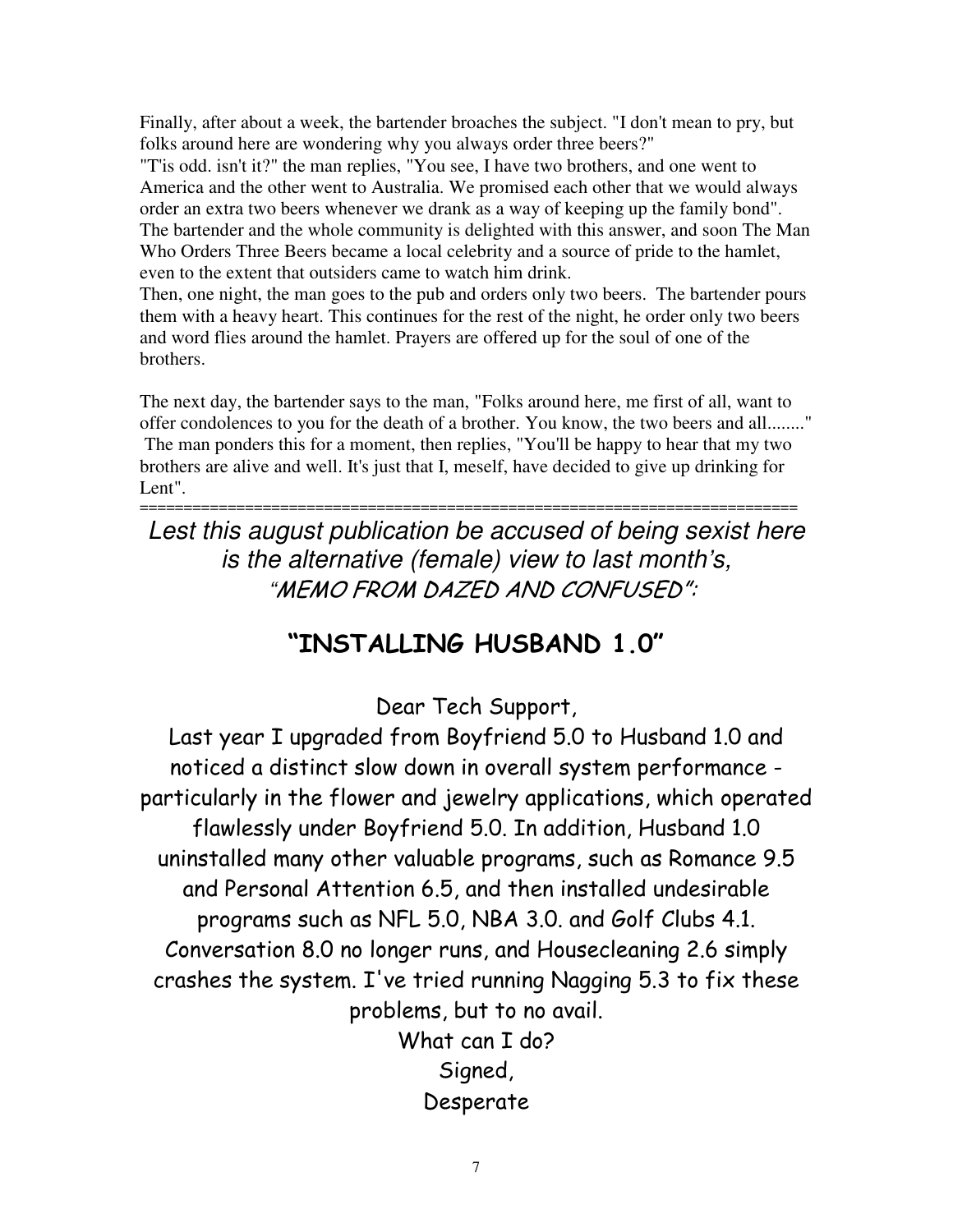Finally, after about a week, the bartender broaches the subject. "I don't mean to pry, but folks around here are wondering why you always order three beers?"

"T'is odd. isn't it?" the man replies, "You see, I have two brothers, and one went to America and the other went to Australia. We promised each other that we would always order an extra two beers whenever we drank as a way of keeping up the family bond". The bartender and the whole community is delighted with this answer, and soon The Man Who Orders Three Beers became a local celebrity and a source of pride to the hamlet, even to the extent that outsiders came to watch him drink.

Then, one night, the man goes to the pub and orders only two beers. The bartender pours them with a heavy heart. This continues for the rest of the night, he order only two beers and word flies around the hamlet. Prayers are offered up for the soul of one of the brothers.

The next day, the bartender says to the man, "Folks around here, me first of all, want to offer condolences to you for the death of a brother. You know, the two beers and all........" The man ponders this for a moment, then replies, "You'll be happy to hear that my two brothers are alive and well. It's just that I, meself, have decided to give up drinking for Lent".

*Lest this august publication be accused of being sexist here is the alternative (female) view to last month's,* "MEMO FROM DAZED AND CONFUSED":

===========================================================================

# "INSTALLING HUSBAND 1.0"

Dear Tech Support,

Last year I upgraded from Boyfriend 5.0 to Husband 1.0 and noticed a distinct slow down in overall system performance particularly in the flower and jewelry applications, which operated flawlessly under Boyfriend 5.0. In addition, Husband 1.0 uninstalled many other valuable programs, such as Romance 9.5 and Personal Attention 6.5, and then installed undesirable programs such as NFL 5.0, NBA 3.0. and Golf Clubs 4.1. Conversation 8.0 no longer runs, and Housecleaning 2.6 simply crashes the system. I've tried running Nagging 5.3 to fix these problems, but to no avail. What  $can I$  do?

> Signed, Desperate